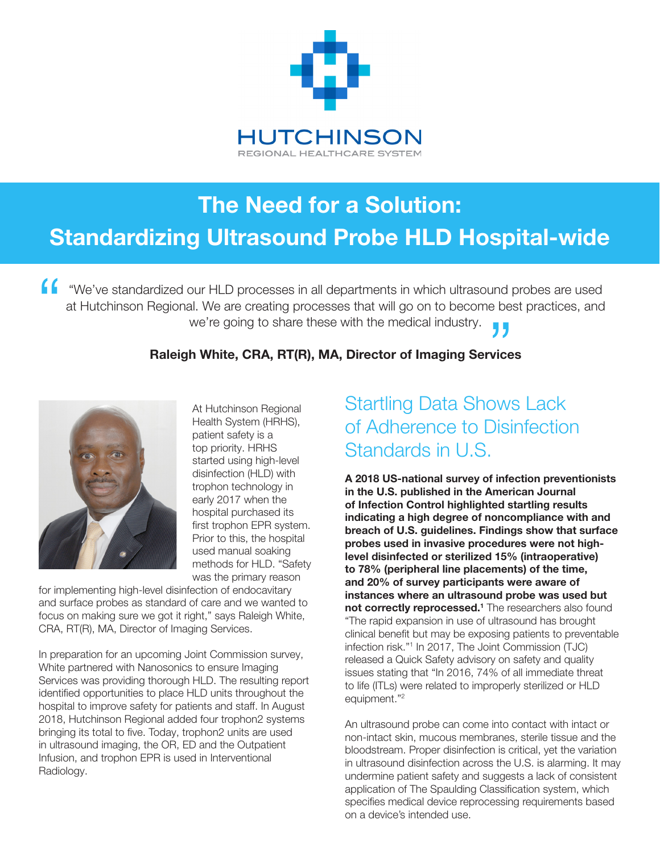

# The Need for a Solution: Standardizing Ultrasound Probe HLD Hospital-wide

"We've standardized our HLD processes in all departments in which ultrasound probes are used at Hutchinson Regional. We are creating processes that will go on to become best practices, and we're going to share these with the medical industry. "  $'$ <br>vices

#### Raleigh White, CRA, RT(R), MA, Director of Imaging Services



At Hutchinson Regional Health System (HRHS), patient safety is a top priority. HRHS started using high-level disinfection (HLD) with trophon technology in early 2017 when the hospital purchased its first trophon EPR system. Prior to this, the hospital used manual soaking methods for HLD. "Safety was the primary reason

for implementing high-level disinfection of endocavitary and surface probes as standard of care and we wanted to focus on making sure we got it right," says Raleigh White, CRA, RT(R), MA, Director of Imaging Services.

In preparation for an upcoming Joint Commission survey, White partnered with Nanosonics to ensure Imaging Services was providing thorough HLD. The resulting report identified opportunities to place HLD units throughout the hospital to improve safety for patients and staff. In August 2018, Hutchinson Regional added four trophon2 systems bringing its total to five. Today, trophon2 units are used in ultrasound imaging, the OR, ED and the Outpatient Infusion, and trophon EPR is used in Interventional Radiology.

#### Startling Data Shows Lack of Adherence to Disinfection Standards in U.S.

A 2018 US-national survey of infection preventionists in the U.S. published in the American Journal of Infection Control highlighted startling results indicating a high degree of noncompliance with and breach of U.S. guidelines. Findings show that surface probes used in invasive procedures were not highlevel disinfected or sterilized 15% (intraoperative) to 78% (peripheral line placements) of the time, and 20% of survey participants were aware of instances where an ultrasound probe was used but not correctly reprocessed.<sup>1</sup> The researchers also found "The rapid expansion in use of ultrasound has brought clinical benefit but may be exposing patients to preventable infection risk."1 In 2017, The Joint Commission (TJC) released a Quick Safety advisory on safety and quality issues stating that "In 2016, 74% of all immediate threat to life (ITLs) were related to improperly sterilized or HLD equipment."2

An ultrasound probe can come into contact with intact or non-intact skin, mucous membranes, sterile tissue and the bloodstream. Proper disinfection is critical, yet the variation in ultrasound disinfection across the U.S. is alarming. It may undermine patient safety and suggests a lack of consistent application of The Spaulding Classification system, which specifies medical device reprocessing requirements based on a device's intended use.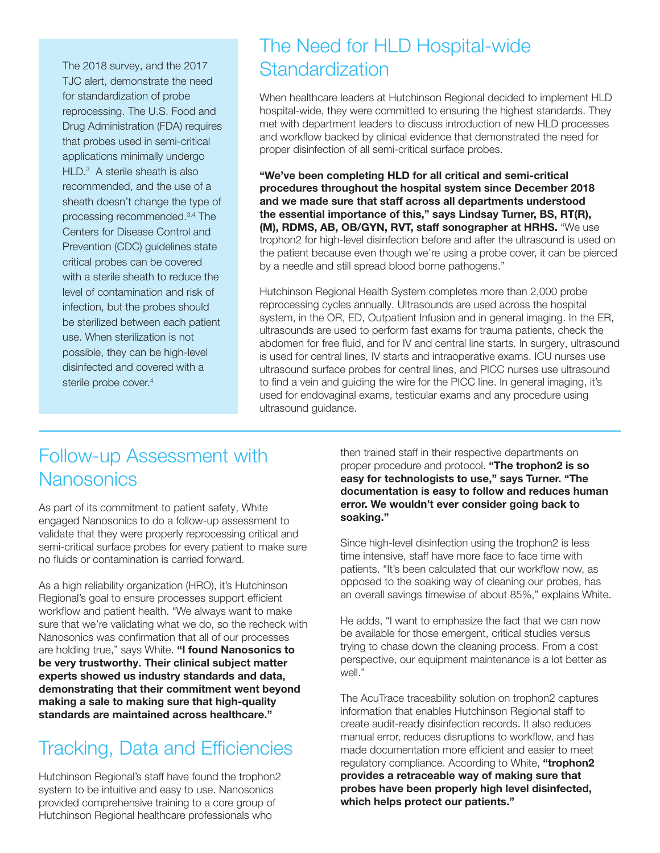The 2018 survey, and the 2017 TJC alert, demonstrate the need for standardization of probe reprocessing. The U.S. Food and Drug Administration (FDA) requires that probes used in semi-critical applications minimally undergo HLD.<sup>3</sup> A sterile sheath is also recommended, and the use of a sheath doesn't change the type of processing recommended.3,4 The Centers for Disease Control and Prevention (CDC) guidelines state critical probes can be covered with a sterile sheath to reduce the level of contamination and risk of infection, but the probes should be sterilized between each patient use. When sterilization is not possible, they can be high-level disinfected and covered with a sterile probe cover.<sup>4</sup>

#### The Need for HLD Hospital-wide **Standardization**

When healthcare leaders at Hutchinson Regional decided to implement HLD hospital-wide, they were committed to ensuring the highest standards. They met with department leaders to discuss introduction of new HLD processes and workflow backed by clinical evidence that demonstrated the need for proper disinfection of all semi-critical surface probes.

"We've been completing HLD for all critical and semi-critical procedures throughout the hospital system since December 2018 and we made sure that staff across all departments understood the essential importance of this," says Lindsay Turner, BS, RT(R), (M), RDMS, AB, OB/GYN, RVT, staff sonographer at HRHS. "We use trophon2 for high-level disinfection before and after the ultrasound is used on the patient because even though we're using a probe cover, it can be pierced by a needle and still spread blood borne pathogens."

Hutchinson Regional Health System completes more than 2,000 probe reprocessing cycles annually. Ultrasounds are used across the hospital system, in the OR, ED, Outpatient Infusion and in general imaging. In the ER, ultrasounds are used to perform fast exams for trauma patients, check the abdomen for free fluid, and for IV and central line starts. In surgery, ultrasound is used for central lines, IV starts and intraoperative exams. ICU nurses use ultrasound surface probes for central lines, and PICC nurses use ultrasound to find a vein and guiding the wire for the PICC line. In general imaging, it's used for endovaginal exams, testicular exams and any procedure using ultrasound guidance.

## Follow-up Assessment with **Nanosonics**

As part of its commitment to patient safety, White engaged Nanosonics to do a follow-up assessment to validate that they were properly reprocessing critical and semi-critical surface probes for every patient to make sure no fluids or contamination is carried forward.

As a high reliability organization (HRO), it's Hutchinson Regional's goal to ensure processes support efficient workflow and patient health. "We always want to make sure that we're validating what we do, so the recheck with Nanosonics was confirmation that all of our processes are holding true," says White. "I found Nanosonics to be very trustworthy. Their clinical subject matter experts showed us industry standards and data, demonstrating that their commitment went beyond making a sale to making sure that high-quality standards are maintained across healthcare."

### Tracking, Data and Efficiencies

Hutchinson Regional's staff have found the trophon2 system to be intuitive and easy to use. Nanosonics provided comprehensive training to a core group of Hutchinson Regional healthcare professionals who

then trained staff in their respective departments on proper procedure and protocol. "The trophon2 is so easy for technologists to use," says Turner. "The documentation is easy to follow and reduces human error. We wouldn't ever consider going back to soaking."

Since high-level disinfection using the trophon2 is less time intensive, staff have more face to face time with patients. "It's been calculated that our workflow now, as opposed to the soaking way of cleaning our probes, has an overall savings timewise of about 85%," explains White.

He adds, "I want to emphasize the fact that we can now be available for those emergent, critical studies versus trying to chase down the cleaning process. From a cost perspective, our equipment maintenance is a lot better as well."

The AcuTrace traceability solution on trophon2 captures information that enables Hutchinson Regional staff to create audit-ready disinfection records. It also reduces manual error, reduces disruptions to workflow, and has made documentation more efficient and easier to meet regulatory compliance. According to White, "trophon2 provides a retraceable way of making sure that probes have been properly high level disinfected, which helps protect our patients."